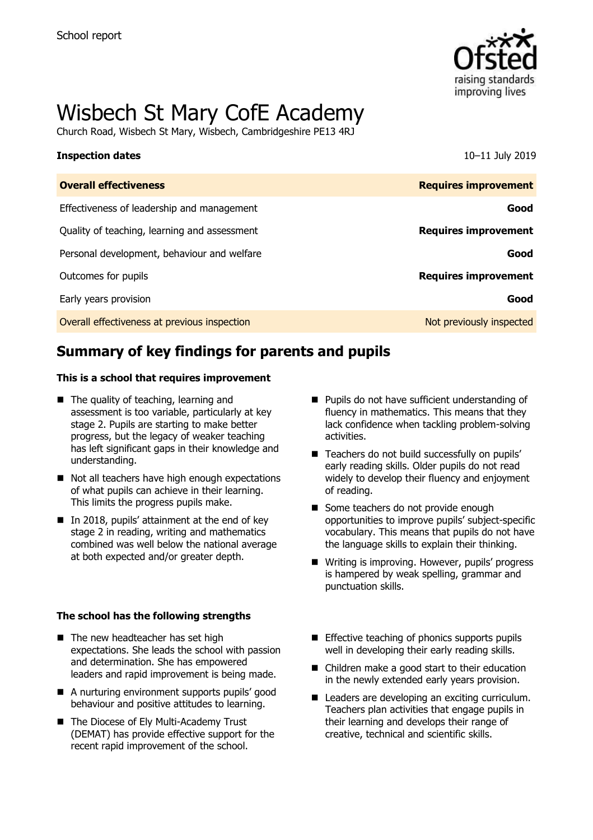

# Wisbech St Mary CofE Academy

Church Road, Wisbech St Mary, Wisbech, Cambridgeshire PE13 4RJ

### **Inspection dates** 10–11 July 2019

| <b>Overall effectiveness</b>                 | <b>Requires improvement</b> |
|----------------------------------------------|-----------------------------|
| Effectiveness of leadership and management   | Good                        |
| Quality of teaching, learning and assessment | <b>Requires improvement</b> |
| Personal development, behaviour and welfare  | Good                        |
| Outcomes for pupils                          | <b>Requires improvement</b> |
| Early years provision                        | Good                        |
| Overall effectiveness at previous inspection | Not previously inspected    |

# **Summary of key findings for parents and pupils**

### **This is a school that requires improvement**

- The quality of teaching, learning and assessment is too variable, particularly at key stage 2. Pupils are starting to make better progress, but the legacy of weaker teaching has left significant gaps in their knowledge and understanding.
- Not all teachers have high enough expectations of what pupils can achieve in their learning. This limits the progress pupils make.
- $\blacksquare$  In 2018, pupils' attainment at the end of key stage 2 in reading, writing and mathematics combined was well below the national average at both expected and/or greater depth.

### **The school has the following strengths**

- The new headteacher has set high expectations. She leads the school with passion and determination. She has empowered leaders and rapid improvement is being made.
- A nurturing environment supports pupils' good behaviour and positive attitudes to learning.
- The Diocese of Ely Multi-Academy Trust (DEMAT) has provide effective support for the recent rapid improvement of the school.
- Pupils do not have sufficient understanding of fluency in mathematics. This means that they lack confidence when tackling problem-solving activities.
- Teachers do not build successfully on pupils' early reading skills. Older pupils do not read widely to develop their fluency and enjoyment of reading.
- Some teachers do not provide enough opportunities to improve pupils' subject-specific vocabulary. This means that pupils do not have the language skills to explain their thinking.
- Writing is improving. However, pupils' progress is hampered by weak spelling, grammar and punctuation skills.
- $\blacksquare$  Effective teaching of phonics supports pupils well in developing their early reading skills.
- Children make a good start to their education in the newly extended early years provision.
- Leaders are developing an exciting curriculum. Teachers plan activities that engage pupils in their learning and develops their range of creative, technical and scientific skills.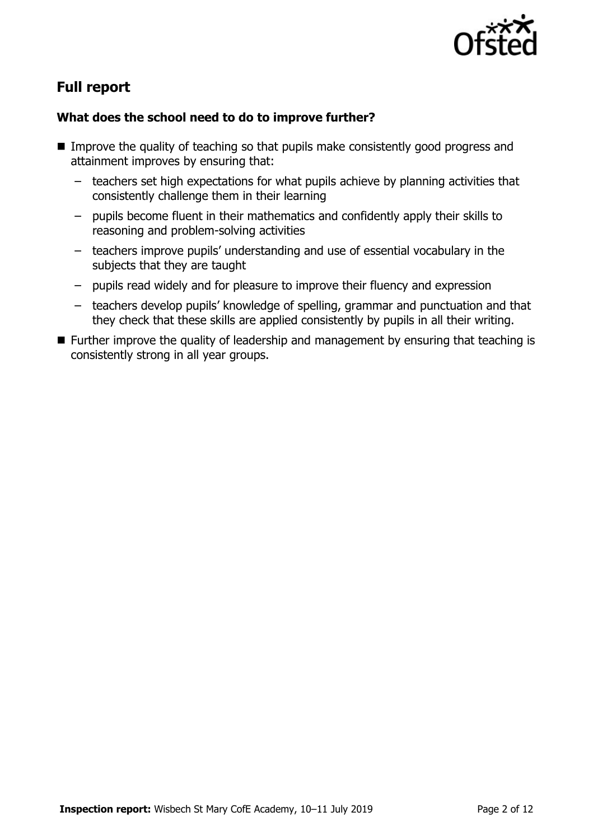

# **Full report**

### **What does the school need to do to improve further?**

- Improve the quality of teaching so that pupils make consistently good progress and attainment improves by ensuring that:
	- teachers set high expectations for what pupils achieve by planning activities that consistently challenge them in their learning
	- pupils become fluent in their mathematics and confidently apply their skills to reasoning and problem-solving activities
	- teachers improve pupils' understanding and use of essential vocabulary in the subjects that they are taught
	- pupils read widely and for pleasure to improve their fluency and expression
	- teachers develop pupils' knowledge of spelling, grammar and punctuation and that they check that these skills are applied consistently by pupils in all their writing.
- **Further improve the quality of leadership and management by ensuring that teaching is** consistently strong in all year groups.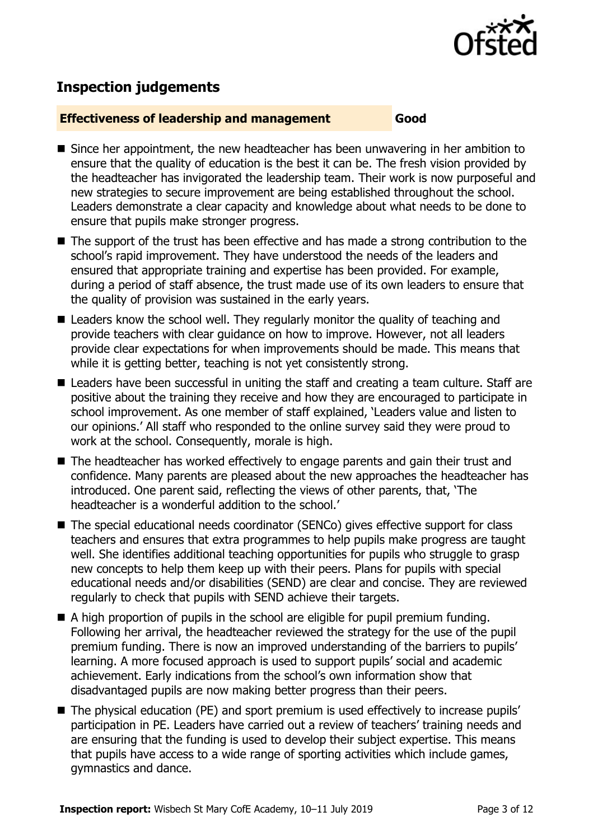

# **Inspection judgements**

### **Effectiveness of leadership and management Good**

- Since her appointment, the new headteacher has been unwavering in her ambition to ensure that the quality of education is the best it can be. The fresh vision provided by the headteacher has invigorated the leadership team. Their work is now purposeful and new strategies to secure improvement are being established throughout the school. Leaders demonstrate a clear capacity and knowledge about what needs to be done to ensure that pupils make stronger progress.
- The support of the trust has been effective and has made a strong contribution to the school's rapid improvement. They have understood the needs of the leaders and ensured that appropriate training and expertise has been provided. For example, during a period of staff absence, the trust made use of its own leaders to ensure that the quality of provision was sustained in the early years.
- Leaders know the school well. They regularly monitor the quality of teaching and provide teachers with clear guidance on how to improve. However, not all leaders provide clear expectations for when improvements should be made. This means that while it is getting better, teaching is not yet consistently strong.
- Leaders have been successful in uniting the staff and creating a team culture. Staff are positive about the training they receive and how they are encouraged to participate in school improvement. As one member of staff explained, 'Leaders value and listen to our opinions.' All staff who responded to the online survey said they were proud to work at the school. Consequently, morale is high.
- The headteacher has worked effectively to engage parents and gain their trust and confidence. Many parents are pleased about the new approaches the headteacher has introduced. One parent said, reflecting the views of other parents, that, 'The headteacher is a wonderful addition to the school.'
- The special educational needs coordinator (SENCo) gives effective support for class teachers and ensures that extra programmes to help pupils make progress are taught well. She identifies additional teaching opportunities for pupils who struggle to grasp new concepts to help them keep up with their peers. Plans for pupils with special educational needs and/or disabilities (SEND) are clear and concise. They are reviewed regularly to check that pupils with SEND achieve their targets.
- $\blacksquare$  A high proportion of pupils in the school are eligible for pupil premium funding. Following her arrival, the headteacher reviewed the strategy for the use of the pupil premium funding. There is now an improved understanding of the barriers to pupils' learning. A more focused approach is used to support pupils' social and academic achievement. Early indications from the school's own information show that disadvantaged pupils are now making better progress than their peers.
- The physical education (PE) and sport premium is used effectively to increase pupils' participation in PE. Leaders have carried out a review of teachers' training needs and are ensuring that the funding is used to develop their subject expertise. This means that pupils have access to a wide range of sporting activities which include games, gymnastics and dance.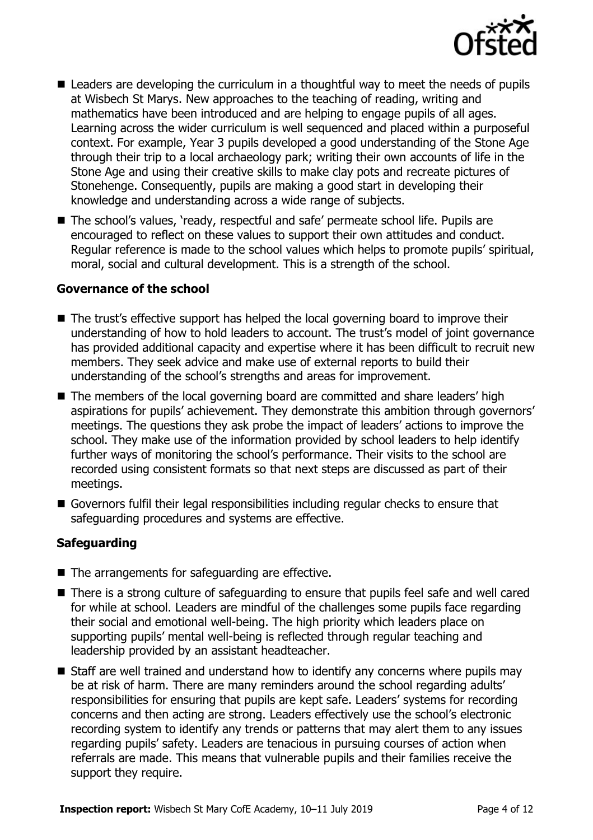

- Leaders are developing the curriculum in a thoughtful way to meet the needs of pupils at Wisbech St Marys. New approaches to the teaching of reading, writing and mathematics have been introduced and are helping to engage pupils of all ages. Learning across the wider curriculum is well sequenced and placed within a purposeful context. For example, Year 3 pupils developed a good understanding of the Stone Age through their trip to a local archaeology park; writing their own accounts of life in the Stone Age and using their creative skills to make clay pots and recreate pictures of Stonehenge. Consequently, pupils are making a good start in developing their knowledge and understanding across a wide range of subjects.
- The school's values, 'ready, respectful and safe' permeate school life. Pupils are encouraged to reflect on these values to support their own attitudes and conduct. Regular reference is made to the school values which helps to promote pupils' spiritual, moral, social and cultural development. This is a strength of the school.

### **Governance of the school**

- The trust's effective support has helped the local governing board to improve their understanding of how to hold leaders to account. The trust's model of joint governance has provided additional capacity and expertise where it has been difficult to recruit new members. They seek advice and make use of external reports to build their understanding of the school's strengths and areas for improvement.
- The members of the local governing board are committed and share leaders' high aspirations for pupils' achievement. They demonstrate this ambition through governors' meetings. The questions they ask probe the impact of leaders' actions to improve the school. They make use of the information provided by school leaders to help identify further ways of monitoring the school's performance. Their visits to the school are recorded using consistent formats so that next steps are discussed as part of their meetings.
- Governors fulfil their legal responsibilities including regular checks to ensure that safeguarding procedures and systems are effective.

### **Safeguarding**

- The arrangements for safeguarding are effective.
- There is a strong culture of safeguarding to ensure that pupils feel safe and well cared for while at school. Leaders are mindful of the challenges some pupils face regarding their social and emotional well-being. The high priority which leaders place on supporting pupils' mental well-being is reflected through regular teaching and leadership provided by an assistant headteacher.
- Staff are well trained and understand how to identify any concerns where pupils may be at risk of harm. There are many reminders around the school regarding adults' responsibilities for ensuring that pupils are kept safe. Leaders' systems for recording concerns and then acting are strong. Leaders effectively use the school's electronic recording system to identify any trends or patterns that may alert them to any issues regarding pupils' safety. Leaders are tenacious in pursuing courses of action when referrals are made. This means that vulnerable pupils and their families receive the support they require.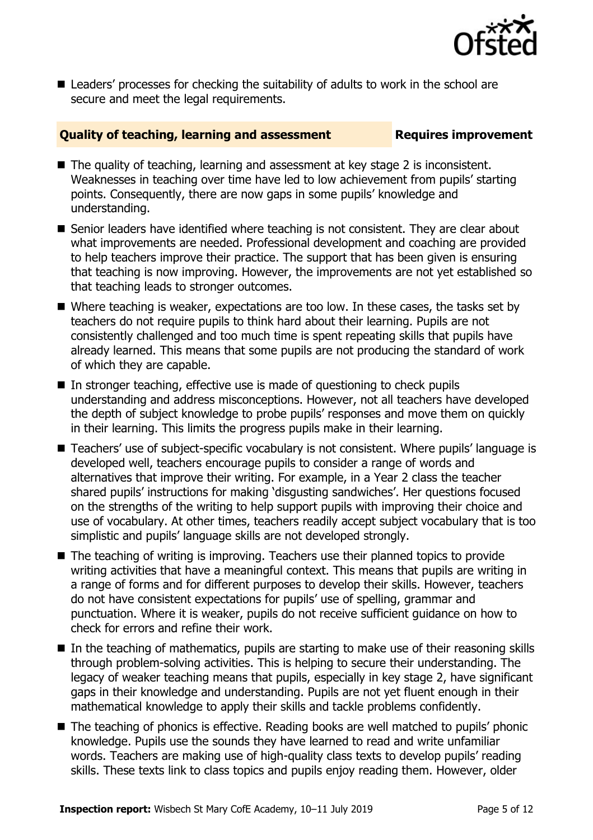

■ Leaders' processes for checking the suitability of adults to work in the school are secure and meet the legal requirements.

### **Quality of teaching, learning and assessment Fig. 2.1 Requires improvement**

- The quality of teaching, learning and assessment at key stage 2 is inconsistent. Weaknesses in teaching over time have led to low achievement from pupils' starting points. Consequently, there are now gaps in some pupils' knowledge and understanding.
- Senior leaders have identified where teaching is not consistent. They are clear about what improvements are needed. Professional development and coaching are provided to help teachers improve their practice. The support that has been given is ensuring that teaching is now improving. However, the improvements are not yet established so that teaching leads to stronger outcomes.
- Where teaching is weaker, expectations are too low. In these cases, the tasks set by teachers do not require pupils to think hard about their learning. Pupils are not consistently challenged and too much time is spent repeating skills that pupils have already learned. This means that some pupils are not producing the standard of work of which they are capable.
- $\blacksquare$  In stronger teaching, effective use is made of questioning to check pupils understanding and address misconceptions. However, not all teachers have developed the depth of subject knowledge to probe pupils' responses and move them on quickly in their learning. This limits the progress pupils make in their learning.
- Teachers' use of subject-specific vocabulary is not consistent. Where pupils' language is developed well, teachers encourage pupils to consider a range of words and alternatives that improve their writing. For example, in a Year 2 class the teacher shared pupils' instructions for making 'disgusting sandwiches'. Her questions focused on the strengths of the writing to help support pupils with improving their choice and use of vocabulary. At other times, teachers readily accept subject vocabulary that is too simplistic and pupils' language skills are not developed strongly.
- The teaching of writing is improving. Teachers use their planned topics to provide writing activities that have a meaningful context. This means that pupils are writing in a range of forms and for different purposes to develop their skills. However, teachers do not have consistent expectations for pupils' use of spelling, grammar and punctuation. Where it is weaker, pupils do not receive sufficient guidance on how to check for errors and refine their work.
- In the teaching of mathematics, pupils are starting to make use of their reasoning skills through problem-solving activities. This is helping to secure their understanding. The legacy of weaker teaching means that pupils, especially in key stage 2, have significant gaps in their knowledge and understanding. Pupils are not yet fluent enough in their mathematical knowledge to apply their skills and tackle problems confidently.
- The teaching of phonics is effective. Reading books are well matched to pupils' phonic knowledge. Pupils use the sounds they have learned to read and write unfamiliar words. Teachers are making use of high-quality class texts to develop pupils' reading skills. These texts link to class topics and pupils enjoy reading them. However, older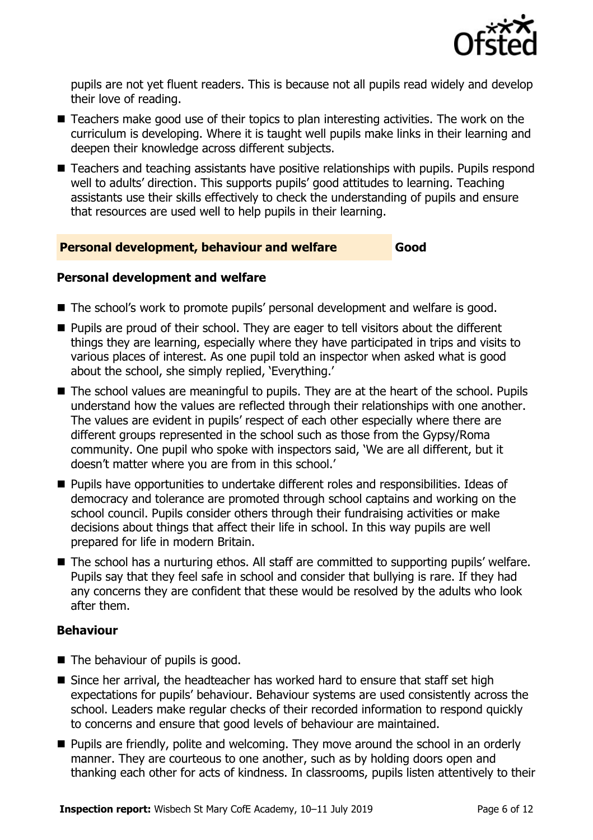

pupils are not yet fluent readers. This is because not all pupils read widely and develop their love of reading.

- Teachers make good use of their topics to plan interesting activities. The work on the curriculum is developing. Where it is taught well pupils make links in their learning and deepen their knowledge across different subjects.
- Teachers and teaching assistants have positive relationships with pupils. Pupils respond well to adults' direction. This supports pupils' good attitudes to learning. Teaching assistants use their skills effectively to check the understanding of pupils and ensure that resources are used well to help pupils in their learning.

### **Personal development, behaviour and welfare Good**

### **Personal development and welfare**

- The school's work to promote pupils' personal development and welfare is good.
- **Pupils are proud of their school. They are eager to tell visitors about the different** things they are learning, especially where they have participated in trips and visits to various places of interest. As one pupil told an inspector when asked what is good about the school, she simply replied, 'Everything.'
- The school values are meaningful to pupils. They are at the heart of the school. Pupils understand how the values are reflected through their relationships with one another. The values are evident in pupils' respect of each other especially where there are different groups represented in the school such as those from the Gypsy/Roma community. One pupil who spoke with inspectors said, 'We are all different, but it doesn't matter where you are from in this school.'
- Pupils have opportunities to undertake different roles and responsibilities. Ideas of democracy and tolerance are promoted through school captains and working on the school council. Pupils consider others through their fundraising activities or make decisions about things that affect their life in school. In this way pupils are well prepared for life in modern Britain.
- The school has a nurturing ethos. All staff are committed to supporting pupils' welfare. Pupils say that they feel safe in school and consider that bullying is rare. If they had any concerns they are confident that these would be resolved by the adults who look after them.

### **Behaviour**

- The behaviour of pupils is good.
- $\blacksquare$  Since her arrival, the headteacher has worked hard to ensure that staff set high expectations for pupils' behaviour. Behaviour systems are used consistently across the school. Leaders make regular checks of their recorded information to respond quickly to concerns and ensure that good levels of behaviour are maintained.
- **Pupils are friendly, polite and welcoming. They move around the school in an orderly** manner. They are courteous to one another, such as by holding doors open and thanking each other for acts of kindness. In classrooms, pupils listen attentively to their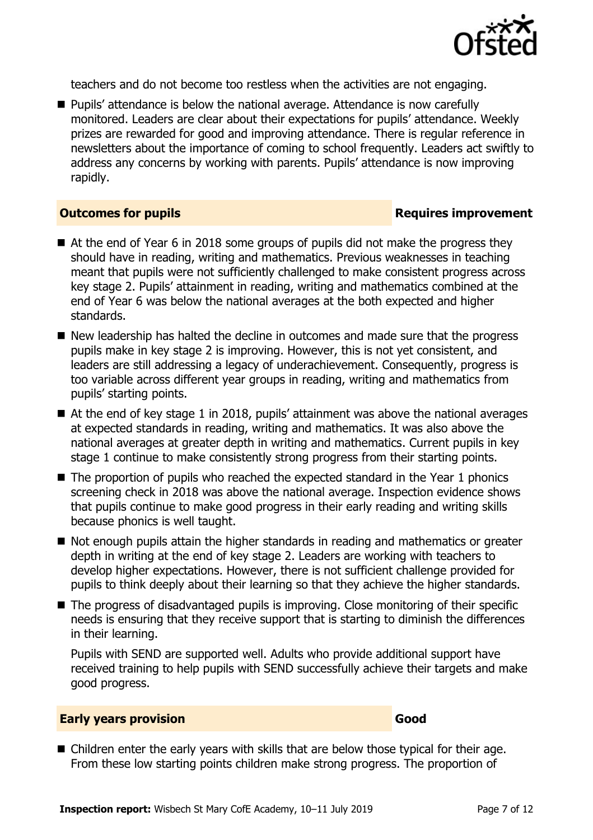

teachers and do not become too restless when the activities are not engaging.

■ Pupils' attendance is below the national average. Attendance is now carefully monitored. Leaders are clear about their expectations for pupils' attendance. Weekly prizes are rewarded for good and improving attendance. There is regular reference in newsletters about the importance of coming to school frequently. Leaders act swiftly to address any concerns by working with parents. Pupils' attendance is now improving rapidly.

### **Outcomes for pupils Requires improvement**

- At the end of Year 6 in 2018 some groups of pupils did not make the progress they should have in reading, writing and mathematics. Previous weaknesses in teaching meant that pupils were not sufficiently challenged to make consistent progress across key stage 2. Pupils' attainment in reading, writing and mathematics combined at the end of Year 6 was below the national averages at the both expected and higher standards.
- New leadership has halted the decline in outcomes and made sure that the progress pupils make in key stage 2 is improving. However, this is not yet consistent, and leaders are still addressing a legacy of underachievement. Consequently, progress is too variable across different year groups in reading, writing and mathematics from pupils' starting points.
- At the end of key stage 1 in 2018, pupils' attainment was above the national averages at expected standards in reading, writing and mathematics. It was also above the national averages at greater depth in writing and mathematics. Current pupils in key stage 1 continue to make consistently strong progress from their starting points.
- $\blacksquare$  The proportion of pupils who reached the expected standard in the Year 1 phonics screening check in 2018 was above the national average. Inspection evidence shows that pupils continue to make good progress in their early reading and writing skills because phonics is well taught.
- Not enough pupils attain the higher standards in reading and mathematics or greater depth in writing at the end of key stage 2. Leaders are working with teachers to develop higher expectations. However, there is not sufficient challenge provided for pupils to think deeply about their learning so that they achieve the higher standards.
- The progress of disadvantaged pupils is improving. Close monitoring of their specific needs is ensuring that they receive support that is starting to diminish the differences in their learning.

Pupils with SEND are supported well. Adults who provide additional support have received training to help pupils with SEND successfully achieve their targets and make good progress.

### **Early years provision Good Good**

■ Children enter the early years with skills that are below those typical for their age. From these low starting points children make strong progress. The proportion of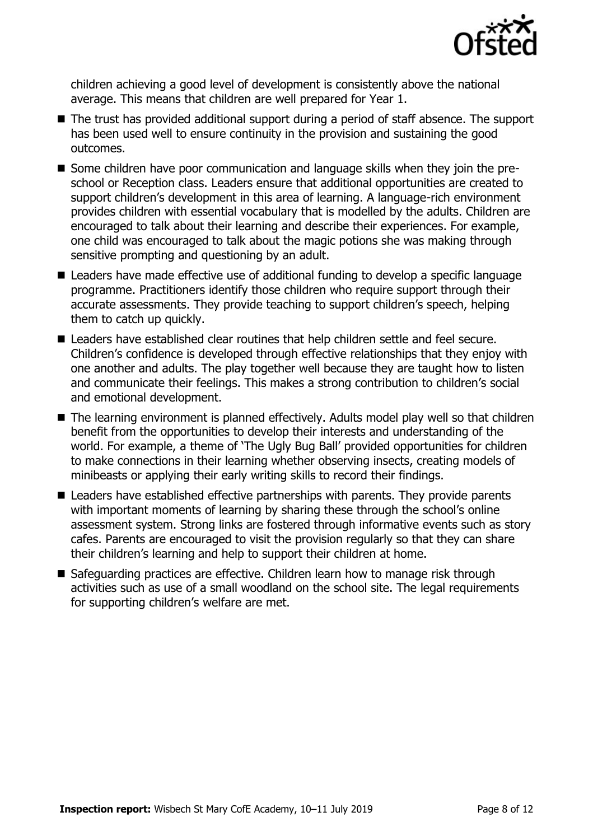

children achieving a good level of development is consistently above the national average. This means that children are well prepared for Year 1.

- The trust has provided additional support during a period of staff absence. The support has been used well to ensure continuity in the provision and sustaining the good outcomes.
- Some children have poor communication and language skills when they join the preschool or Reception class. Leaders ensure that additional opportunities are created to support children's development in this area of learning. A language-rich environment provides children with essential vocabulary that is modelled by the adults. Children are encouraged to talk about their learning and describe their experiences. For example, one child was encouraged to talk about the magic potions she was making through sensitive prompting and questioning by an adult.
- Leaders have made effective use of additional funding to develop a specific language programme. Practitioners identify those children who require support through their accurate assessments. They provide teaching to support children's speech, helping them to catch up quickly.
- Leaders have established clear routines that help children settle and feel secure. Children's confidence is developed through effective relationships that they enjoy with one another and adults. The play together well because they are taught how to listen and communicate their feelings. This makes a strong contribution to children's social and emotional development.
- The learning environment is planned effectively. Adults model play well so that children benefit from the opportunities to develop their interests and understanding of the world. For example, a theme of 'The Ugly Bug Ball' provided opportunities for children to make connections in their learning whether observing insects, creating models of minibeasts or applying their early writing skills to record their findings.
- Leaders have established effective partnerships with parents. They provide parents with important moments of learning by sharing these through the school's online assessment system. Strong links are fostered through informative events such as story cafes. Parents are encouraged to visit the provision regularly so that they can share their children's learning and help to support their children at home.
- Safeguarding practices are effective. Children learn how to manage risk through activities such as use of a small woodland on the school site. The legal requirements for supporting children's welfare are met.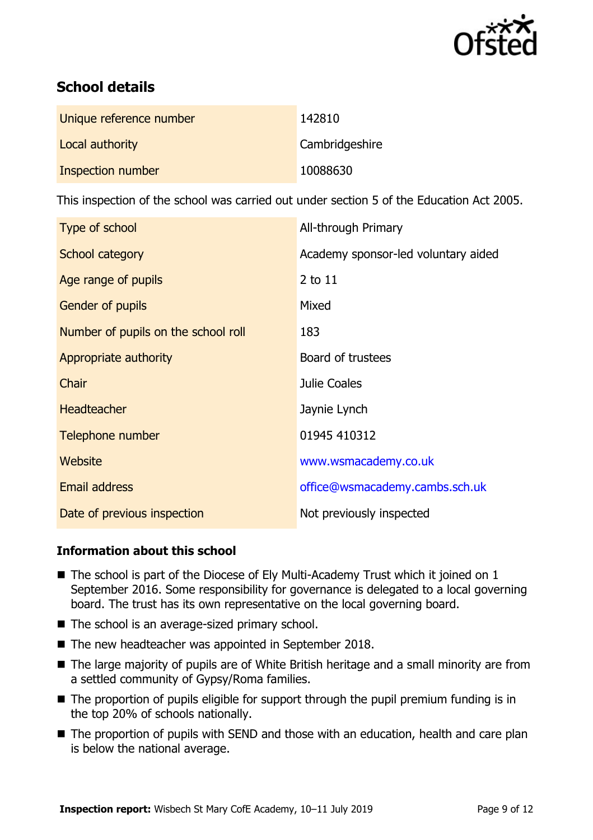

# **School details**

| Unique reference number | 142810         |
|-------------------------|----------------|
| Local authority         | Cambridgeshire |
| Inspection number       | 10088630       |

This inspection of the school was carried out under section 5 of the Education Act 2005.

| Type of school                      | All-through Primary                 |
|-------------------------------------|-------------------------------------|
| School category                     | Academy sponsor-led voluntary aided |
| Age range of pupils                 | 2 to 11                             |
| <b>Gender of pupils</b>             | Mixed                               |
| Number of pupils on the school roll | 183                                 |
| Appropriate authority               | Board of trustees                   |
| Chair                               | Julie Coales                        |
| <b>Headteacher</b>                  | Jaynie Lynch                        |
| Telephone number                    | 01945 410312                        |
| Website                             | www.wsmacademy.co.uk                |
| <b>Email address</b>                | office@wsmacademy.cambs.sch.uk      |
| Date of previous inspection         | Not previously inspected            |

### **Information about this school**

- $\blacksquare$  The school is part of the Diocese of Ely Multi-Academy Trust which it joined on 1 September 2016. Some responsibility for governance is delegated to a local governing board. The trust has its own representative on the local governing board.
- The school is an average-sized primary school.
- The new headteacher was appointed in September 2018.
- The large majority of pupils are of White British heritage and a small minority are from a settled community of Gypsy/Roma families.
- The proportion of pupils eligible for support through the pupil premium funding is in the top 20% of schools nationally.
- The proportion of pupils with SEND and those with an education, health and care plan is below the national average.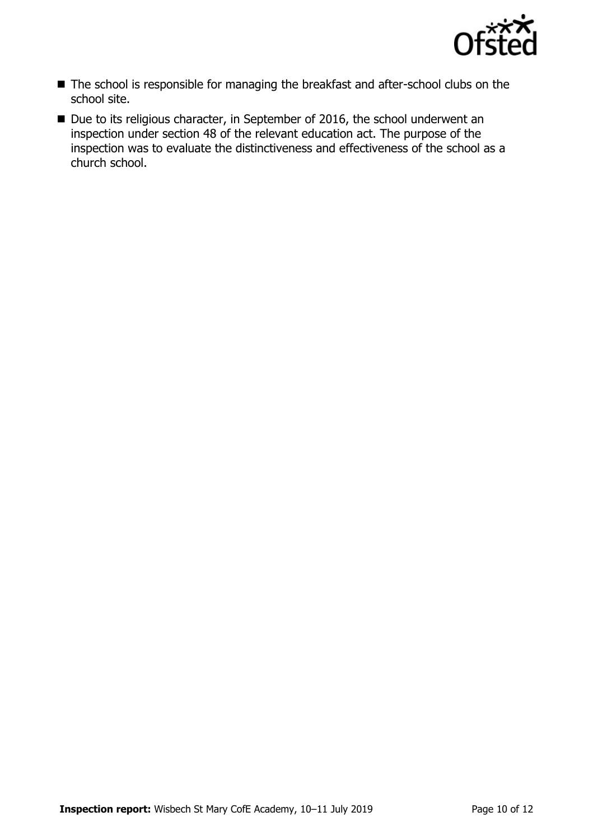

- The school is responsible for managing the breakfast and after-school clubs on the school site.
- Due to its religious character, in September of 2016, the school underwent an inspection under section 48 of the relevant education act. The purpose of the inspection was to evaluate the distinctiveness and effectiveness of the school as a church school.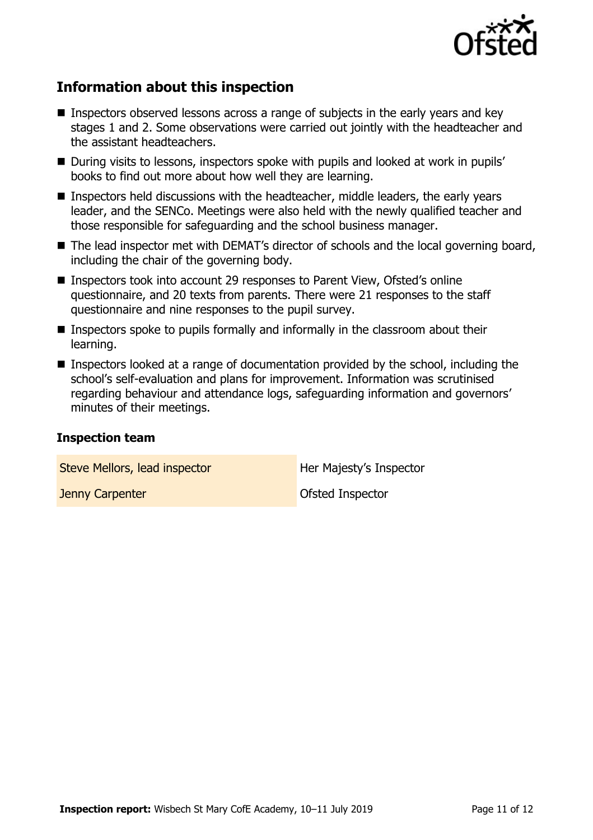

# **Information about this inspection**

- Inspectors observed lessons across a range of subjects in the early years and key stages 1 and 2. Some observations were carried out jointly with the headteacher and the assistant headteachers.
- During visits to lessons, inspectors spoke with pupils and looked at work in pupils' books to find out more about how well they are learning.
- Inspectors held discussions with the headteacher, middle leaders, the early years leader, and the SENCo. Meetings were also held with the newly qualified teacher and those responsible for safeguarding and the school business manager.
- The lead inspector met with DEMAT's director of schools and the local governing board, including the chair of the governing body.
- Inspectors took into account 29 responses to Parent View, Ofsted's online questionnaire, and 20 texts from parents. There were 21 responses to the staff questionnaire and nine responses to the pupil survey.
- **Inspectors spoke to pupils formally and informally in the classroom about their** learning.
- Inspectors looked at a range of documentation provided by the school, including the school's self-evaluation and plans for improvement. Information was scrutinised regarding behaviour and attendance logs, safeguarding information and governors' minutes of their meetings.

### **Inspection team**

Steve Mellors, lead inspector **Her Majesty's Inspector** 

**Jenny Carpenter Carpenter Carpenter Carpenter Carpenter Carpenter Carpenter Carpenter Carpenter Carpenter Carp**